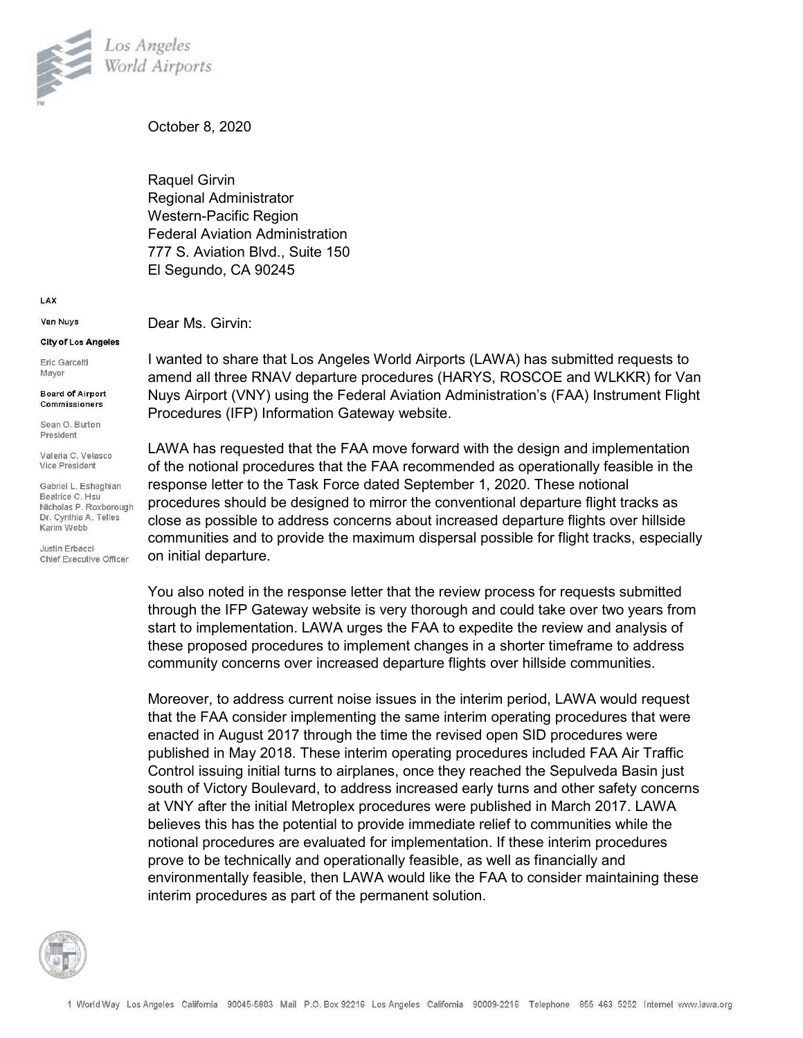

October 8, 2020

Raquel Girvin Regional Administrator Western-Pacific Region Federal Aviation Administration 777 S. Aviation Blvd., Suite 150 El Segundo, CA 90245

LAX

Van Nuvs

## City of Los Angeles

Eric Garcetti Mayor

**Board of Airport** Commissioners

Sean O. Burton President

Valeria C. Velasco Vice President

Gabriel L. Eshaghian Beatrice C. Hsu Nicholas P. Roxborough Dr. Cynthia A. Telles Karim Webb

Justin Erbacci Chief Executive Officer Dear Ms. Girvin:

I wanted to share that Los Angeles World Airports (LAWA) has submitted requests to amend all three RNAV departure procedures (HARYS, ROSCOE and WLKKR) for Van Nuys Airport (VNY) using the Federal Aviation Administration's (FAA) Instrument Flight Procedures (IFP) Information Gateway website.

LAWA has requested that the FAA move forward with the design and implementation of the notional procedures that the FAA recommended as operationally feasible in the response letter to the Task Force dated September 1, 2020. These notional procedures should be designed to mirror the conventional departure flight tracks as close as possible to address concerns about increased departure flights over hillside communities and to provide the maximum dispersal possible for flight tracks, especially on initial departure.

You also noted in the response letter that the review process for requests submitted through the IFP Gateway website is very thorough and could take over two years from start to implementation. LAWA urges the FAA to expedite the review and analysis of these proposed procedures to implement changes in a shorter timeframe to address community concerns over increased departure flights over hillside communities.

Moreover, to address current noise issues in the interim period, LAWA would request that the FAA consider implementing the same interim operating procedures that were enacted in August 2017 through the time the revised open SID procedures were published in May 2018. These interim operating procedures included FAA Air Traffic Control issuing initial turns to airplanes, once they reached the Sepulveda Basin just south of Victory Boulevard, to address increased early turns and other safety concerns at VNY after the initial Metroplex procedures were published in March 2017. LAWA believes this has the potential to provide immediate relief to communities while the notional procedures are evaluated for implementation. If these interim procedures prove to be technically and operationally feasible, as well as financially and environmentally feasible, then LAWA would like the FAA to consider maintaining these interim procedures as part of the permanent solution.